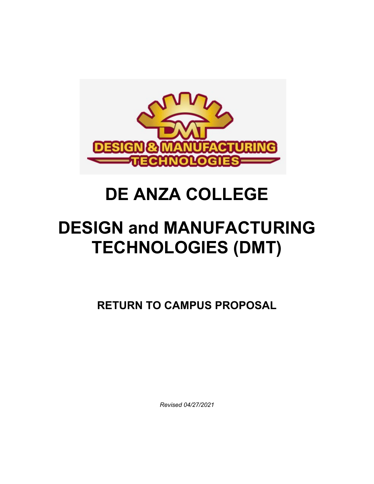

# **DE ANZA COLLEGE**

# **DESIGN and MANUFACTURING TECHNOLOGIES (DMT)**

**RETURN TO CAMPUS PROPOSAL**

 *Revised 04/27/2021*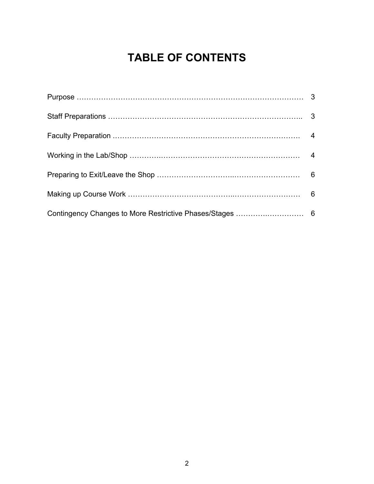# **TABLE OF CONTENTS**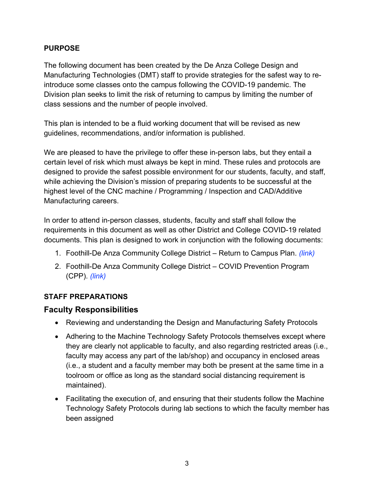#### **PURPOSE**

The following document has been created by the De Anza College Design and Manufacturing Technologies (DMT) staff to provide strategies for the safest way to reintroduce some classes onto the campus following the COVID-19 pandemic. The Division plan seeks to limit the risk of returning to campus by limiting the number of class sessions and the number of people involved.

This plan is intended to be a fluid working document that will be revised as new guidelines, recommendations, and/or information is published.

We are pleased to have the privilege to offer these in-person labs, but they entail a certain level of risk which must always be kept in mind. These rules and protocols are designed to provide the safest possible environment for our students, faculty, and staff, while achieving the Division's mission of preparing students to be successful at the highest level of the CNC machine / Programming / Inspection and CAD/Additive Manufacturing careers.

In order to attend in-person classes, students, faculty and staff shall follow the requirements in this document as well as other District and College COVID-19 related documents. This plan is designed to work in conjunction with the following documents:

- 1. Foothill-De Anza Community College District Return to Campus Plan. *(link)*
- 2. Foothill-De Anza Community College District COVID Prevention Program (CPP). *(link)*

### **STAFF PREPARATIONS**

## **Faculty Responsibilities**

- Reviewing and understanding the Design and Manufacturing Safety Protocols
- Adhering to the Machine Technology Safety Protocols themselves except where they are clearly not applicable to faculty, and also regarding restricted areas (i.e., faculty may access any part of the lab/shop) and occupancy in enclosed areas (i.e., a student and a faculty member may both be present at the same time in a toolroom or office as long as the standard social distancing requirement is maintained).
- Facilitating the execution of, and ensuring that their students follow the Machine Technology Safety Protocols during lab sections to which the faculty member has been assigned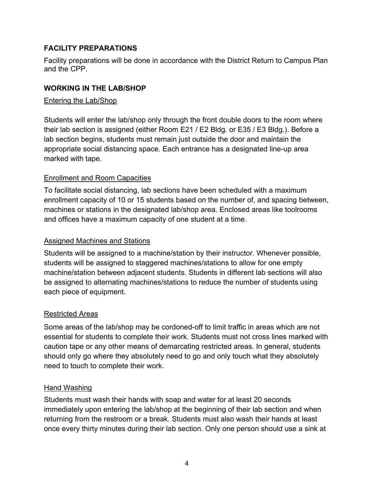#### **FACILITY PREPARATIONS**

Facility preparations will be done in accordance with the District Return to Campus Plan and the CPP.

#### **WORKING IN THE LAB/SHOP**

#### Entering the Lab/Shop

Students will enter the lab/shop only through the front double doors to the room where their lab section is assigned (either Room E21 / E2 Bldg. or E35 / E3 Bldg.). Before a lab section begins, students must remain just outside the door and maintain the appropriate social distancing space. Each entrance has a designated line-up area marked with tape.

#### Enrollment and Room Capacities

To facilitate social distancing, lab sections have been scheduled with a maximum enrollment capacity of 10 or 15 students based on the number of, and spacing between, machines or stations in the designated lab/shop area. Enclosed areas like toolrooms and offices have a maximum capacity of one student at a time.

#### Assigned Machines and Stations

Students will be assigned to a machine/station by their instructor. Whenever possible, students will be assigned to staggered machines/stations to allow for one empty machine/station between adjacent students. Students in different lab sections will also be assigned to alternating machines/stations to reduce the number of students using each piece of equipment.

#### Restricted Areas

Some areas of the lab/shop may be cordoned-off to limit traffic in areas which are not essential for students to complete their work. Students must not cross lines marked with caution tape or any other means of demarcating restricted areas. In general, students should only go where they absolutely need to go and only touch what they absolutely need to touch to complete their work.

#### Hand Washing

Students must wash their hands with soap and water for at least 20 seconds immediately upon entering the lab/shop at the beginning of their lab section and when returning from the restroom or a break. Students must also wash their hands at least once every thirty minutes during their lab section. Only one person should use a sink at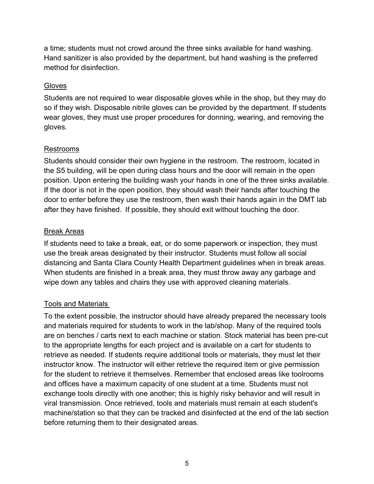a time; students must not crowd around the three sinks available for hand washing. Hand sanitizer is also provided by the department, but hand washing is the preferred method for disinfection.

#### **Gloves**

Students are not required to wear disposable gloves while in the shop, but they may do so if they wish. Disposable nitrile gloves can be provided by the department. If students wear gloves, they must use proper procedures for donning, wearing, and removing the gloves.

#### Restrooms

Students should consider their own hygiene in the restroom. The restroom, located in the S5 building, will be open during class hours and the door will remain in the open position. Upon entering the building wash your hands in one of the three sinks available. If the door is not in the open position, they should wash their hands after touching the door to enter before they use the restroom, then wash their hands again in the DMT lab after they have finished.  If possible, they should exit without touching the door.

#### Break Areas

If students need to take a break, eat, or do some paperwork or inspection, they must use the break areas designated by their instructor. Students must follow all social distancing and Santa Clara County Health Department guidelines when in break areas. When students are finished in a break area, they must throw away any garbage and wipe down any tables and chairs they use with approved cleaning materials.

#### Tools and Materials

To the extent possible, the instructor should have already prepared the necessary tools and materials required for students to work in the lab/shop. Many of the required tools are on benches / carts next to each machine or station. Stock material has been pre-cut to the appropriate lengths for each project and is available on a cart for students to retrieve as needed. If students require additional tools or materials, they must let their instructor know. The instructor will either retrieve the required item or give permission for the student to retrieve it themselves. Remember that enclosed areas like toolrooms and offices have a maximum capacity of one student at a time. Students must not exchange tools directly with one another; this is highly risky behavior and will result in viral transmission. Once retrieved, tools and materials must remain at each student's machine/station so that they can be tracked and disinfected at the end of the lab section before returning them to their designated areas.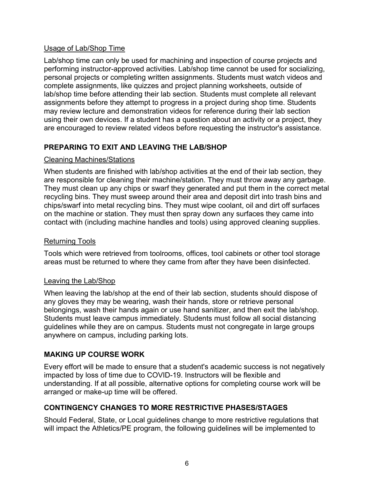#### Usage of Lab/Shop Time

Lab/shop time can only be used for machining and inspection of course projects and performing instructor-approved activities. Lab/shop time cannot be used for socializing, personal projects or completing written assignments. Students must watch videos and complete assignments, like quizzes and project planning worksheets, outside of lab/shop time before attending their lab section. Students must complete all relevant assignments before they attempt to progress in a project during shop time. Students may review lecture and demonstration videos for reference during their lab section using their own devices. If a student has a question about an activity or a project, they are encouraged to review related videos before requesting the instructor's assistance.

### **PREPARING TO EXIT AND LEAVING THE LAB/SHOP**

#### Cleaning Machines/Stations

When students are finished with lab/shop activities at the end of their lab section, they are responsible for cleaning their machine/station. They must throw away any garbage. They must clean up any chips or swarf they generated and put them in the correct metal recycling bins. They must sweep around their area and deposit dirt into trash bins and chips/swarf into metal recycling bins. They must wipe coolant, oil and dirt off surfaces on the machine or station. They must then spray down any surfaces they came into contact with (including machine handles and tools) using approved cleaning supplies.

#### Returning Tools

Tools which were retrieved from toolrooms, offices, tool cabinets or other tool storage areas must be returned to where they came from after they have been disinfected.

#### Leaving the Lab/Shop

When leaving the lab/shop at the end of their lab section, students should dispose of any gloves they may be wearing, wash their hands, store or retrieve personal belongings, wash their hands again or use hand sanitizer, and then exit the lab/shop. Students must leave campus immediately. Students must follow all social distancing guidelines while they are on campus. Students must not congregate in large groups anywhere on campus, including parking lots.

#### **MAKING UP COURSE WORK**

Every effort will be made to ensure that a student's academic success is not negatively impacted by loss of time due to COVID-19. Instructors will be flexible and understanding. If at all possible, alternative options for completing course work will be arranged or make-up time will be offered.

#### **CONTINGENCY CHANGES TO MORE RESTRICTIVE PHASES/STAGES**

Should Federal, State, or Local guidelines change to more restrictive regulations that will impact the Athletics/PE program, the following guidelines will be implemented to